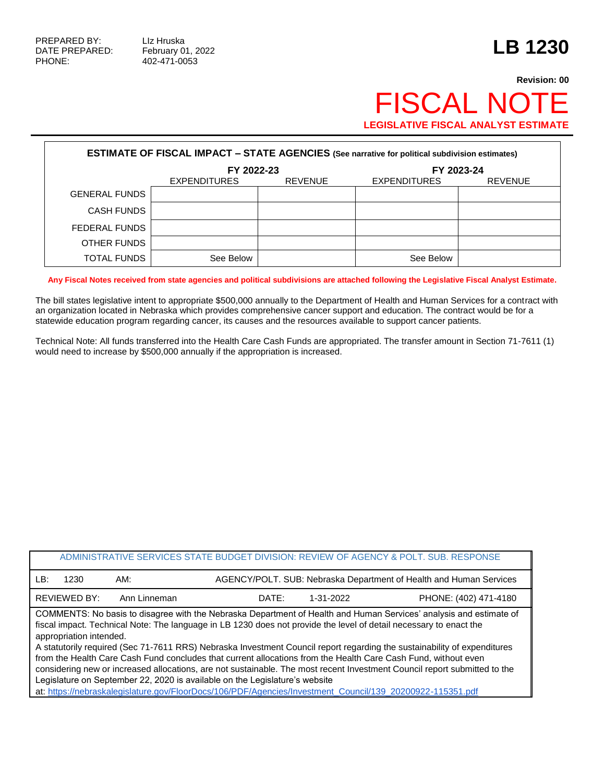PHONE: 402-471-0053

## **Revision: 00** FISCAL NOTE **LEGISLATIVE FISCAL ANALYST ESTIMATE**

| <b>ESTIMATE OF FISCAL IMPACT - STATE AGENCIES (See narrative for political subdivision estimates)</b> |                     |                |                     |                |  |  |  |  |
|-------------------------------------------------------------------------------------------------------|---------------------|----------------|---------------------|----------------|--|--|--|--|
|                                                                                                       | FY 2022-23          |                | FY 2023-24          |                |  |  |  |  |
|                                                                                                       | <b>EXPENDITURES</b> | <b>REVENUE</b> | <b>EXPENDITURES</b> | <b>REVENUE</b> |  |  |  |  |
| <b>GENERAL FUNDS</b>                                                                                  |                     |                |                     |                |  |  |  |  |
| <b>CASH FUNDS</b>                                                                                     |                     |                |                     |                |  |  |  |  |
| FEDERAL FUNDS                                                                                         |                     |                |                     |                |  |  |  |  |
| OTHER FUNDS                                                                                           |                     |                |                     |                |  |  |  |  |
| <b>TOTAL FUNDS</b>                                                                                    | See Below           |                | See Below           |                |  |  |  |  |

**Any Fiscal Notes received from state agencies and political subdivisions are attached following the Legislative Fiscal Analyst Estimate.**

The bill states legislative intent to appropriate \$500,000 annually to the Department of Health and Human Services for a contract with an organization located in Nebraska which provides comprehensive cancer support and education. The contract would be for a statewide education program regarding cancer, its causes and the resources available to support cancer patients.

Technical Note: All funds transferred into the Health Care Cash Funds are appropriated. The transfer amount in Section 71-7611 (1) would need to increase by \$500,000 annually if the appropriation is increased.

| ADMINISTRATIVE SERVICES STATE BUDGET DIVISION: REVIEW OF AGENCY & POLT. SUB. RESPONSE                                                                                                                                                                                                                                                                                                                                                                                                                                                                                                                                                                                                                                                                                                                                                      |              |       |           |                                                                    |  |  |
|--------------------------------------------------------------------------------------------------------------------------------------------------------------------------------------------------------------------------------------------------------------------------------------------------------------------------------------------------------------------------------------------------------------------------------------------------------------------------------------------------------------------------------------------------------------------------------------------------------------------------------------------------------------------------------------------------------------------------------------------------------------------------------------------------------------------------------------------|--------------|-------|-----------|--------------------------------------------------------------------|--|--|
| LB:<br>1230                                                                                                                                                                                                                                                                                                                                                                                                                                                                                                                                                                                                                                                                                                                                                                                                                                | AM:          |       |           | AGENCY/POLT. SUB: Nebraska Department of Health and Human Services |  |  |
| <b>REVIEWED BY:</b>                                                                                                                                                                                                                                                                                                                                                                                                                                                                                                                                                                                                                                                                                                                                                                                                                        | Ann Linneman | DATE: | 1-31-2022 | PHONE: (402) 471-4180                                              |  |  |
| COMMENTS: No basis to disagree with the Nebraska Department of Health and Human Services' analysis and estimate of<br>fiscal impact. Technical Note: The language in LB 1230 does not provide the level of detail necessary to enact the<br>appropriation intended.<br>A statutorily required (Sec 71-7611 RRS) Nebraska Investment Council report regarding the sustainability of expenditures<br>from the Health Care Cash Fund concludes that current allocations from the Health Care Cash Fund, without even<br>considering new or increased allocations, are not sustainable. The most recent Investment Council report submitted to the<br>Legislature on September 22, 2020 is available on the Legislature's website<br>at: https://nebraskalegislature.gov/FloorDocs/106/PDF/Agencies/Investment_Council/139_20200922-115351.pdf |              |       |           |                                                                    |  |  |